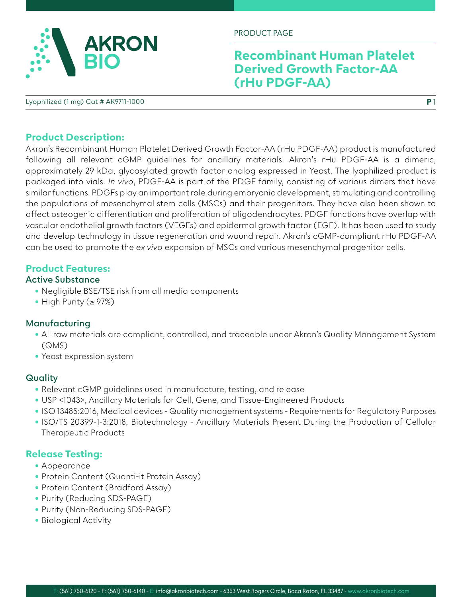

PRODUCT PAGE

## **Recombinant Human Platelet Derived Growth Factor-AA (rHu PDGF-AA)**

**P** 1

Lyophilized (1 mg) Cat # AK9711-1000

#### **Product Description:**

Akron's Recombinant Human Platelet Derived Growth Factor-AA (rHu PDGF-AA) product is manufactured following all relevant cGMP guidelines for ancillary materials. Akron's rHu PDGF-AA is a dimeric, approximately 29 kDa, glycosylated growth factor analog expressed in Yeast. The lyophilized product is packaged into vials. *In vivo*, PDGF-AA is part of the PDGF family, consisting of various dimers that have similar functions. PDGFs play an important role during embryonic development, stimulating and controlling the populations of mesenchymal stem cells (MSCs) and their progenitors. They have also been shown to affect osteogenic differentiation and proliferation of oligodendrocytes. PDGF functions have overlap with vascular endothelial growth factors (VEGFs) and epidermal growth factor (EGF). It has been used to study and develop technology in tissue regeneration and wound repair. Akron's cGMP-compliant rHu PDGF-AA can be used to promote the *ex vivo* expansion of MSCs and various mesenchymal progenitor cells.

#### **Product Features:**

#### **Active Substance**

- Negligible BSE/TSE risk from all media components
- High Purity (≥ 97%)

#### **Manufacturing**

- All raw materials are compliant, controlled, and traceable under Akron's Quality Management System (QMS)
- Yeast expression system

## **Quality**

- Relevant cGMP guidelines used in manufacture, testing, and release
- USP <1043>, Ancillary Materials for Cell, Gene, and Tissue-Engineered Products
- ISO 13485:2016, Medical devices Quality management systems Requirements for Regulatory Purposes
- ISO/TS 20399-1-3:2018, Biotechnology Ancillary Materials Present During the Production of Cellular Therapeutic Products

## **Release Testing:**

- Appearance
- Protein Content (Quanti-it Protein Assay)
- Protein Content (Bradford Assay)
- Purity (Reducing SDS-PAGE)
- Purity (Non-Reducing SDS-PAGE)
- Biological Activity